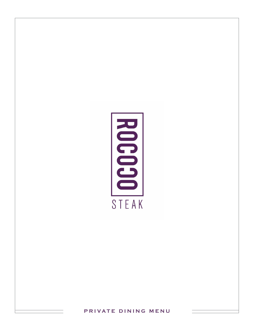

**PRIVATE DINING MENU**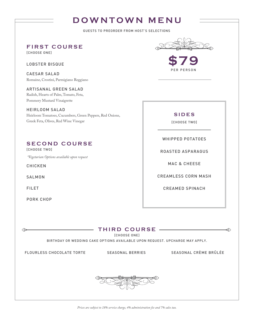# **DOWNTOWN MENU**

GUESTS TO PREORDER FROM HOST'S SELECTIONS

**FIRST COURSE**

[CHOOSE ONE]

LOBSTER BISQUE

CAESAR SALAD Romaine, Crostini, Parmigiano Reggiano

ARTISANAL GREEN SALAD Radish, Hearts of Palm, Tomato, Feta, Pommery Mustard Vinaigrette

HEIRLOOM SALAD Heirloom Tomatoes, Cucumbers, Green Peppers, Red Onions, Greek Feta, Olives, Red Wine Vinegar

### **SECOND COURSE**

[CHOOSE TWO]

 *\*Vegetarian Options available upon request*

CHICKEN

SALMON

FILET

∕ৈ⊶

PORK CHOP



PER PERSON

**SIDES**

[CHOOSE TWO]

WHIPPED POTATOES

ROASTED ASPARAGUS

MAC & CHEESE

CREAMLESS CORN MASH

CREAMED SPINACH

**THIRD COURSE**

[CHOOSE ONE]

BIRTHDAY OR WEDDING CAKE OPTIONS AVAILABLE UPON REQUEST. UPCHARGE MAY APPLY.

FLOURLESS CHOCOLATE TORTE SEASONAL BERRIES SEASONAL CRÈME BRÛLÉE

 $\circledcirc$ 



*Prices are subject to 18% service charge, 4% administration fee and 7% sales tax.*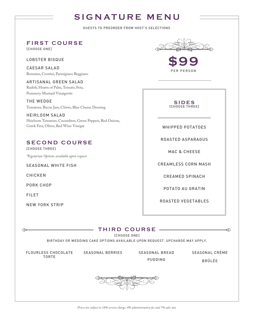# **SIGNATURE MENU**

GUESTS TO PREORDER FROM HOST'S SELECTIONS

**FIRST COURSE**

[CHOOSE ONE]

LOBSTER BISQUE

CAESAR SALAD Romaine, Crostini, Parmigiano Reggiano

ARTISANAL GREEN SALAD Radish, Hearts of Palm, Tomato, Feta, Pommery Mustard Vinaigrette

THE WEDGE Tomatoes, Bacon Jam, Chives, Blue Cheese Dressing

HEIRLOOM SALAD Heirloom Tomatoes, Cucumbers, Green Peppers, Red Onions, Greek Feta, Olives, Red Wine Vinegar

### **SECOND COURSE**

[CHOOSE THREE] *\*Vegetarian Options available upon request*

SEASONAL WHITE FISH

CHICKEN

PORK CHOP

FILET

**R** 

NEW YORK STRIP



**\$99** PER PERSON

**SIDES** [CHOOSE THREE]

WHIPPED POTATOES

ROASTED ASPARAGUS

MAC & CHEESE

CREAMLESS CORN MASH

CREAMED SPINACH

POTATO AU GRATIN

ROASTED VEGETABLES

# **THIRD COURSE**

[CHOOSE ONE]

BIRTHDAY OR WEDDING CAKE OPTIONS AVAILABLE UPON REQUEST. UPCHARGE MAY APPLY.

FLOURLESS CHOCOLATE TORTE

SEASONAL BERRIES SEASONAL BREAD

PUDDING

SEASONAL CRÈME BRÛLÉE

 $\circledcirc$ 

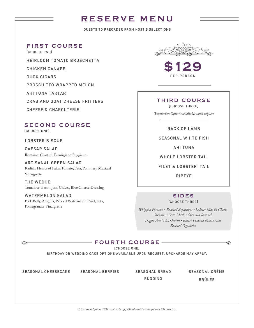# **RESERVE MENU**

GUESTS TO PREORDER FROM HOST'S SELECTIONS

**FIRST COURSE**

[CHOOSE TWO]

HEIRLOOM TOMATO BRUSCHETTA

CHICKEN CANAPE

DUCK CIGARS

PROSCUITTO WRAPPED MELON

AHI TUNA TARTAR

CRAB AND GOAT CHEESE FRITTERS

CHEESE & CHARCUTERIE

### **SECOND COURSE**

[CHOOSE ONE]

LOBSTER BISQUE

CAESAR SALAD Romaine, Crostini, Parmigiano Reggiano

ARTISANAL GREEN SALAD Radish, Hearts of Palm, Tomato, Feta, Pommery Mustard Vinaigrette

THE WEDGE Tomatoes, Bacon Jam, Chives, Blue Cheese Dressing

WATERMELON SALAD Pork Belly, Arugula, Pickled Watermelon Rind, Feta, Pomegranate Vinaigrette

**\$129** PER PERSON

#### **THIRD COURSE** [CHOOSE THREE]

*\*Vegetarian Options available upon request*

RACK OF LAMB

SEASONAL WHITE FISH

AHI TUNA

WHOLE LOBSTER TAIL

FILET & LOBSTER TAIL

RIBEYE

#### **SIDES** [CHOOSE THREE]

*Whipped Potatoes • Roasted Asparagus • Lobster Mac & Cheese Creamless Corn Mash • Creamed Spinach Truffle Potato Au Gratin • Butter Poached Mushrooms Roasted Vegetables*

#### **FOURTH COURSE**

[CHOOSE ONE]

BIRTHDAY OR WEDDING CAKE OPTIONS AVAILABLE UPON REQUEST. UPCHARGE MAY APPLY.

SEASONAL CHEESECAKE SEASONAL BERRIES SEASONAL BREAD

 $\oslash$ 

PUDDING

SEASONAL CRÈME BRÛLÉE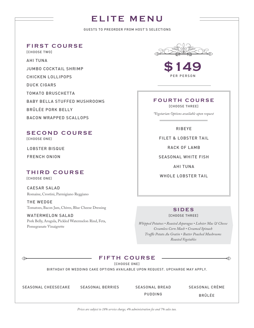# **ELITE MENU**

GUESTS TO PREORDER FROM HOST'S SELECTIONS

#### **FIRST COURSE**

[CHOOSE TWO]

AHI TUNA JUMBO COCKTAIL SHRIMP CHICKEN LOLLIPOPS DUCK CIGARS TOMATO BRUSCHETTA BABY BELLA STUFFED MUSHROOMS BRÛLÉE PORK BELLY BACON WRAPPED SCALLOPS

# **SECOND COURSE**

[CHOOSE ONE]

LOBSTER BISQUE FRENCH ONION

#### **THIRD COURSE** [CHOOSE ONE]

CAESAR SALAD Romaine, Crostini, Parmigiano Reggiano

THE WEDGE Tomatoes, Bacon Jam, Chives, Blue Cheese Dressing

WATERMELON SALAD Pork Belly, Arugula, Pickled Watermelon Rind, Feta, Pomegranate Vinaigrette



**\$149** PER PERSON

# **FOURTH COURSE**

[CHOOSE THREE]

*\*Vegetarian Options available upon request*

RIBEYE

FILET & LOBSTER TAIL

RACK OF LAMB

SEASONAL WHITE FISH

AHI TUNA

WHOLE LOBSTER TAIL

### **SIDES**

[CHOOSE THREE]

*Whipped Potatoes • Roasted Asparagus • Lobster Mac & Cheese Creamless Corn Mash • Creamed Spinach Truffle Potato Au Gratin • Butter Poached Mushrooms Roasted Vegetables*

### **FIFTH COURSE**

[CHOOSE ONE]

BIRTHDAY OR WEDDING CAKE OPTIONS AVAILABLE UPON REQUEST. UPCHARGE MAY APPLY.

**∢** 

SEASONAL CHEESECAKE SEASONAL BERRIES SEASONAL BREAD

PUDDING

SEASONAL CRÈME BRÛLÉE

*Prices are subject to 18% service charge, 4% administration fee and 7% sales tax.*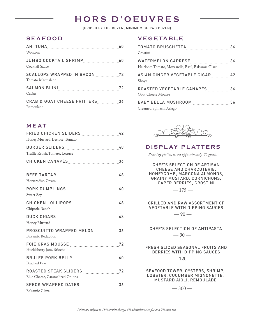# **HORS D'OEUVRES**

(PRICED BY THE DOZEN, MINIMUM OF TWO DOZEN)

# **SEAFOOD**

| Wontons                                     |  |
|---------------------------------------------|--|
| Cocktail Sauce                              |  |
| Tomato Marmalade                            |  |
| Caviar                                      |  |
| CRAB & GOAT CHEESE FRITTERS 36<br>Remoulade |  |

### **MEAT**

| FRIED CHICKEN SLIDERS42<br>Honey Mustard, Lettuce, Tomato |
|-----------------------------------------------------------|
| Truffle Relish, Tomato, Lettuce                           |
|                                                           |
| Horseradish Cream                                         |
| Sweet Soy                                                 |
| Chipotle Ranch                                            |
| Honey Mustard                                             |
| PROSCUITTO WRAPPED MELON 36<br><b>Balsamic Reduction</b>  |
| Huckleberry Jam, Brioche                                  |
| Poached Pear                                              |
| Blue Cheese, Caramalized Onions                           |
| SPECK WRAPPED DATES 36<br><b>Balsamic Glaze</b>           |
|                                                           |

### **VEGETABLE**

| Crostini                                                                    |  |
|-----------------------------------------------------------------------------|--|
| WATERMELON CAPRESE 36<br>Heirloom Tomato, Mozzarella, Basil, Balsamic Glaze |  |
| ASIAN GINGER VEGETABLE CIGAR42<br>Shoyu                                     |  |
| Goat Cheese Mousse                                                          |  |
| BABY BELLA MUSHROOM 36<br>Creamed Spinach, Asiago                           |  |



## **DISPLAY PLATTERS**

*Priced by platter, serves approximately 25 guests.*

CHEF'S SELECTION OF ARTISAN CHEESE AND CHARCUTERIE, HONEYCOMB, MARCONA ALMONDS, GRAINY MUSTARD, CORNICHONS, CAPER BERRIES, CROSTINI

 $-175-$ 

GRILLED AND RAW ASSORTMENT OF VEGETABLE WITH DIPPING SAUCES  $-90-$ 

CHEF'S SELECTION OF ANTIPASTA  $-90-$ 

FRESH SLICED SEASONAL FRUITS AND BERRIES WITH DIPPING SAUCES

 $-120-$ 

SEAFOOD TOWER, OYSTERS, SHRIMP, LOBSTER, CUCUMBER MIGNONETTE, MUSTARD AIOLI, REMOULADE

 $-300-$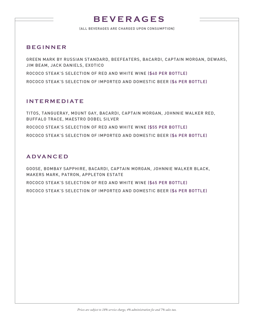# **BEVERAGES**

(ALL BEVERAGES ARE CHARGED UPON CONSUMPTION]

### **BEGINNER**

GREEN MARK BY RUSSIAN STANDARD, BEEFEATERS, BACARDI, CAPTAIN MORGAN, DEWARS, JIM BEAM, JACK DANIELS, EXOTICO ROCOCO STEAK'S SELECTION OF RED AND WHITE WINE (\$40 PER BOTTLE) ROCOCO STEAK'S SELECTION OF IMPORTED AND DOMESTIC BEER (\$6 PER BOTTLE)

### **INTERMEDIATE**

TITOS, TANGUERAY, MOUNT GAY, BACARDI, CAPTAIN MORGAN, JOHNNIE WALKER RED, BUFFALO TRACE, MAESTRO DOBEL SILVER ROCOCO STEAK'S SELECTION OF RED AND WHITE WINE (\$55 PER BOTTLE)

ROCOCO STEAK'S SELECTION OF IMPORTED AND DOMESTIC BEER (\$6 PER BOTTLE)

## **ADVANCED**

GOOSE, BOMBAY SAPPHIRE, BACARDI, CAPTAIN MORGAN, JOHNNIE WALKER BLACK, MAKERS MARK, PATRON, APPLETON ESTATE

ROCOCO STEAK'S SELECTION OF RED AND WHITE WINE (\$65 PER BOTTLE)

ROCOCO STEAK'S SELECTION OF IMPORTED AND DOMESTIC BEER (\$6 PER BOTTLE)